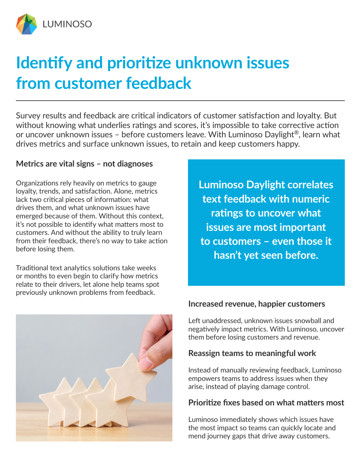

# **Identify and prioritize unknown issues from customer feedback**

Survey results and feedback are critical indicators of customer satisfaction and loyalty. But without knowing what underlies ratings and scores, it's impossible to take corrective action or uncover unknown issues – before customers leave. With Luminoso Daylight<sup>®</sup>, learn what drives metrics and surface unknown issues, to retain and keep customers happy.

## **Metrics are vital signs – not diagnoses**

Organizations rely heavily on metrics to gauge loyalty, trends, and satisfaction. Alone, metrics lack two critical pieces of information: what drives them, and what unknown issues have emerged because of them. Without this context, it's not possible to identify what matters most to customers. And without the ability to truly learn from their feedback, there's no way to take action before losing them.

Traditional text analytics solutions take weeks or months to even begin to clarify how metrics relate to their drivers, let alone help teams spot previously unknown problems from feedback.

**Luminoso Daylight correlates text feedback with numeric ratings to uncover what issues are most important to customers – even those it hasn't yet seen before.** 



## **Increased revenue, happier customers**

Left unaddressed, unknown issues snowball and negatively impact metrics. With Luminoso, uncover them before losing customers and revenue.

## **Reassign teams to meaningful work**

Instead of manually reviewing feedback, Luminoso empowers teams to address issues when they arise, instead of playing damage control.

## **Prioritize fixes based on what matters most**

Luminoso immediately shows which issues have the most impact so teams can quickly locate and mend journey gaps that drive away customers.